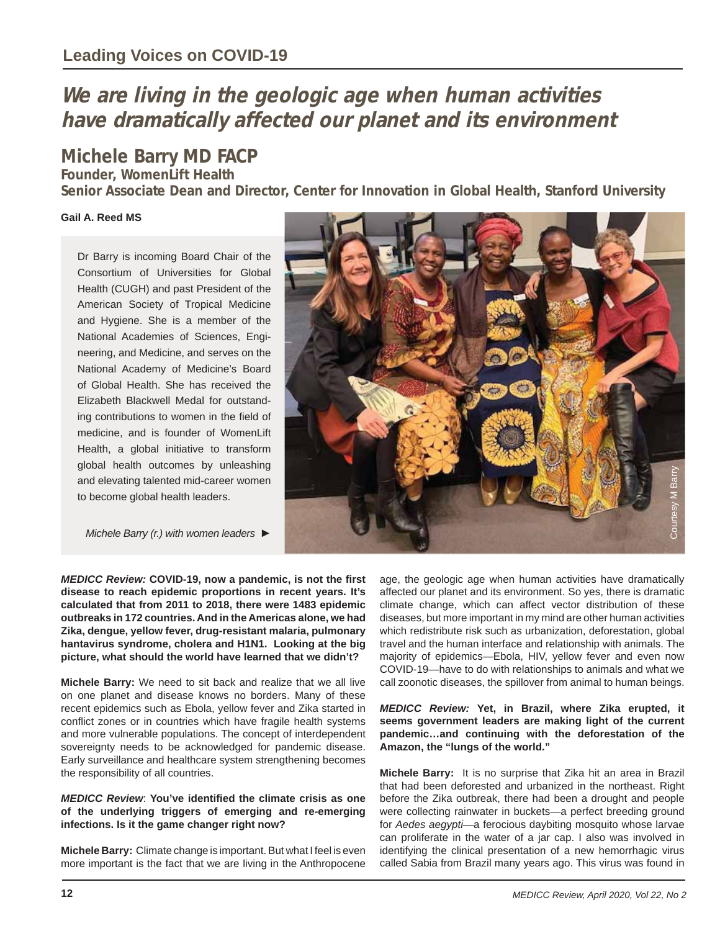# **We are living in the geologic age when human activities have dramatically affected our planet and its environment**

## **Michele Barry MD FACP**

**Founder, WomenLift Health**

**Senior Associate Dean and Director, Center for Innovation in Global Health, Stanford University**

#### **Gail A. Reed MS**

Dr Barry is incoming Board Chair of the Consortium of Universities for Global Health (CUGH) and past President of the American Society of Tropical Medicine and Hygiene. She is a member of the National Academies of Sciences, Engineering, and Medicine, and serves on the National Academy of Medicine's Board of Global Health. She has received the Elizabeth Blackwell Medal for outstanding contributions to women in the field of medicine, and is founder of WomenLift Health, a global initiative to transform global health outcomes by unleashing and elevating talented mid-career women to become global health leaders.

*Michele Barry (r.) with women leaders ►*



*MEDICC Review:* **COVID-19, now a pandemic, is not the fi rst disease to reach epidemic proportions in recent years. It's calculated that from 2011 to 2018, there were 1483 epidemic outbreaks in 172 countries. And in the Americas alone, we had Zika, dengue, yellow fever, drug-resistant malaria, pulmonary hantavirus syndrome, cholera and H1N1. Looking at the big picture, what should the world have learned that we didn't?** 

**Michele Barry:** We need to sit back and realize that we all live on one planet and disease knows no borders. Many of these recent epidemics such as Ebola, yellow fever and Zika started in conflict zones or in countries which have fragile health systems and more vulnerable populations. The concept of interdependent sovereignty needs to be acknowledged for pandemic disease. Early surveillance and healthcare system strengthening becomes the responsibility of all countries.

#### *MEDICC Review:* You've identified the climate crisis as one **of the underlying triggers of emerging and re-emerging infections. Is it the game changer right now?**

**Michele Barry:** Climate change is important. But what I feel is even more important is the fact that we are living in the Anthropocene age, the geologic age when human activities have dramatically affected our planet and its environment. So yes, there is dramatic climate change, which can affect vector distribution of these diseases, but more important in my mind are other human activities which redistribute risk such as urbanization, deforestation, global travel and the human interface and relationship with animals. The majority of epidemics—Ebola, HIV, yellow fever and even now COVID-19—have to do with relationships to animals and what we call zoonotic diseases, the spillover from animal to human beings. East the geologic age when human activities have dramatically<br>affected our planet and its environment. So yes, there is dramatic climate change, which can affect vector distruction of these<br>distances but more important in

#### *MEDICC Review:* **Yet, in Brazil, where Zika erupted, it seems government leaders are making light of the current pandemic…and continuing with the deforestation of the Amazon, the "lungs of the world."**

**Michele Barry:** It is no surprise that Zika hit an area in Brazil that had been deforested and urbanized in the northeast. Right before the Zika outbreak, there had been a drought and people were collecting rainwater in buckets—a perfect breeding ground for *Aedes aegypti*—a ferocious daybiting mosquito whose larvae can proliferate in the water of a jar cap. I also was involved in identifying the clinical presentation of a new hemorrhagic virus